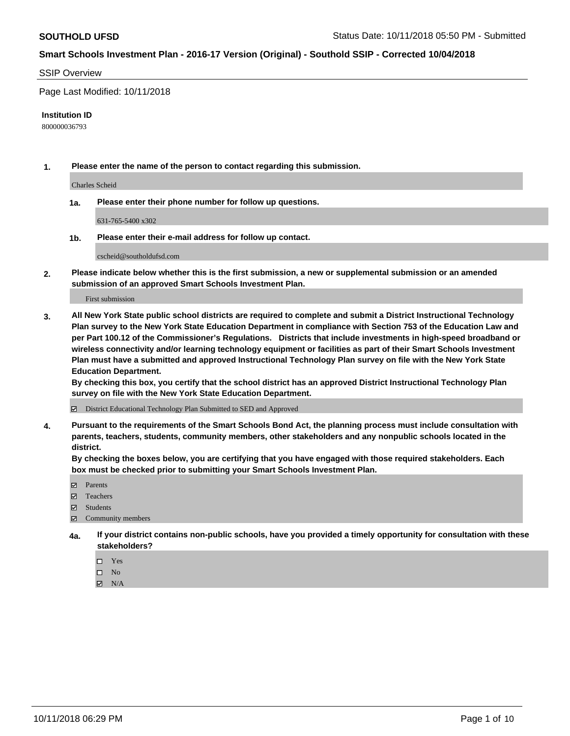### SSIP Overview

Page Last Modified: 10/11/2018

#### **Institution ID**

800000036793

**1. Please enter the name of the person to contact regarding this submission.**

Charles Scheid

**1a. Please enter their phone number for follow up questions.**

631-765-5400 x302

**1b. Please enter their e-mail address for follow up contact.**

cscheid@southoldufsd.com

**2. Please indicate below whether this is the first submission, a new or supplemental submission or an amended submission of an approved Smart Schools Investment Plan.**

First submission

**3. All New York State public school districts are required to complete and submit a District Instructional Technology Plan survey to the New York State Education Department in compliance with Section 753 of the Education Law and per Part 100.12 of the Commissioner's Regulations. Districts that include investments in high-speed broadband or wireless connectivity and/or learning technology equipment or facilities as part of their Smart Schools Investment Plan must have a submitted and approved Instructional Technology Plan survey on file with the New York State Education Department.** 

**By checking this box, you certify that the school district has an approved District Instructional Technology Plan survey on file with the New York State Education Department.**

District Educational Technology Plan Submitted to SED and Approved

**4. Pursuant to the requirements of the Smart Schools Bond Act, the planning process must include consultation with parents, teachers, students, community members, other stakeholders and any nonpublic schools located in the district.** 

**By checking the boxes below, you are certifying that you have engaged with those required stakeholders. Each box must be checked prior to submitting your Smart Schools Investment Plan.**

- **□** Parents
- Teachers
- Students
- $\boxtimes$  Community members
- **4a. If your district contains non-public schools, have you provided a timely opportunity for consultation with these stakeholders?**
	- $\Box$  Yes
	- $\qquad \qquad$  No
	- $\blacksquare$  N/A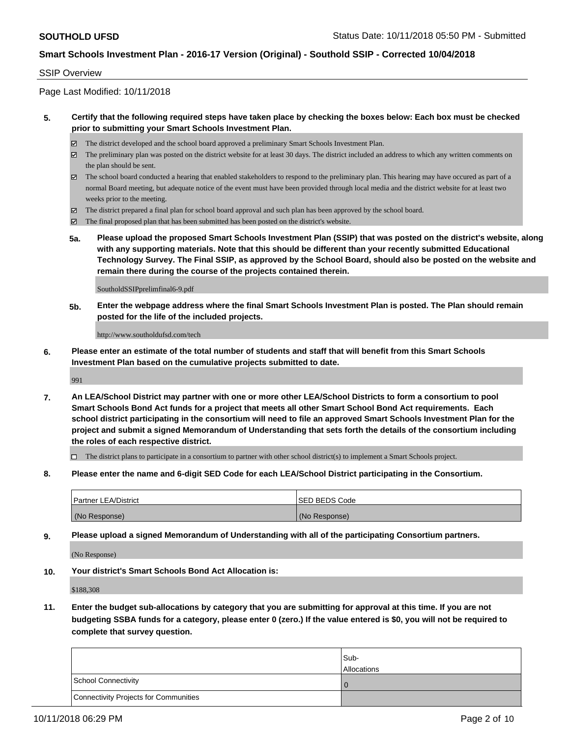# SSIP Overview

Page Last Modified: 10/11/2018

# **5. Certify that the following required steps have taken place by checking the boxes below: Each box must be checked prior to submitting your Smart Schools Investment Plan.**

- The district developed and the school board approved a preliminary Smart Schools Investment Plan.
- The preliminary plan was posted on the district website for at least 30 days. The district included an address to which any written comments on the plan should be sent.
- $\boxtimes$  The school board conducted a hearing that enabled stakeholders to respond to the preliminary plan. This hearing may have occured as part of a normal Board meeting, but adequate notice of the event must have been provided through local media and the district website for at least two weeks prior to the meeting.
- The district prepared a final plan for school board approval and such plan has been approved by the school board.
- $\boxtimes$  The final proposed plan that has been submitted has been posted on the district's website.
- **5a. Please upload the proposed Smart Schools Investment Plan (SSIP) that was posted on the district's website, along with any supporting materials. Note that this should be different than your recently submitted Educational Technology Survey. The Final SSIP, as approved by the School Board, should also be posted on the website and remain there during the course of the projects contained therein.**

SoutholdSSIPprelimfinal6-9.pdf

**5b. Enter the webpage address where the final Smart Schools Investment Plan is posted. The Plan should remain posted for the life of the included projects.**

http://www.southoldufsd.com/tech

**6. Please enter an estimate of the total number of students and staff that will benefit from this Smart Schools Investment Plan based on the cumulative projects submitted to date.**

991

**7. An LEA/School District may partner with one or more other LEA/School Districts to form a consortium to pool Smart Schools Bond Act funds for a project that meets all other Smart School Bond Act requirements. Each school district participating in the consortium will need to file an approved Smart Schools Investment Plan for the project and submit a signed Memorandum of Understanding that sets forth the details of the consortium including the roles of each respective district.**

 $\Box$  The district plans to participate in a consortium to partner with other school district(s) to implement a Smart Schools project.

**8. Please enter the name and 6-digit SED Code for each LEA/School District participating in the Consortium.**

| <b>Partner LEA/District</b> | <b>ISED BEDS Code</b> |
|-----------------------------|-----------------------|
| (No Response)               | (No Response)         |

**9. Please upload a signed Memorandum of Understanding with all of the participating Consortium partners.**

(No Response)

**10. Your district's Smart Schools Bond Act Allocation is:**

\$188,308

**11. Enter the budget sub-allocations by category that you are submitting for approval at this time. If you are not budgeting SSBA funds for a category, please enter 0 (zero.) If the value entered is \$0, you will not be required to complete that survey question.**

|                                              | Sub-<br><b>Allocations</b> |
|----------------------------------------------|----------------------------|
| <b>School Connectivity</b>                   |                            |
| <b>Connectivity Projects for Communities</b> |                            |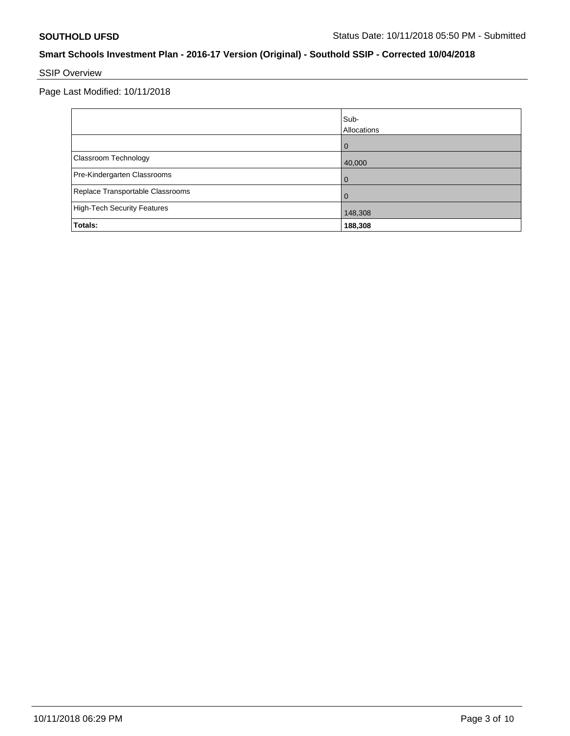# SSIP Overview

Page Last Modified: 10/11/2018

|                                    | Sub-<br>Allocations |
|------------------------------------|---------------------|
|                                    | $\Omega$            |
| Classroom Technology               | 40,000              |
| Pre-Kindergarten Classrooms        | 0                   |
| Replace Transportable Classrooms   | 0                   |
| <b>High-Tech Security Features</b> | 148,308             |
| Totals:                            | 188,308             |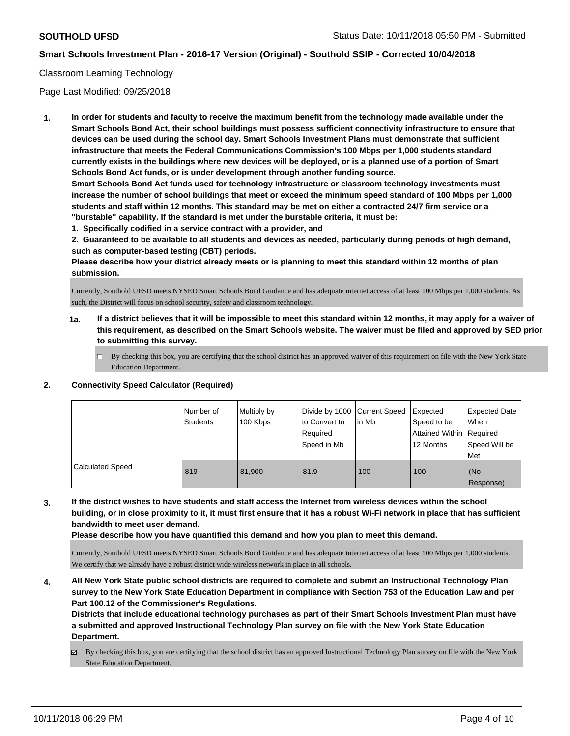# Classroom Learning Technology

Page Last Modified: 09/25/2018

**1. In order for students and faculty to receive the maximum benefit from the technology made available under the Smart Schools Bond Act, their school buildings must possess sufficient connectivity infrastructure to ensure that devices can be used during the school day. Smart Schools Investment Plans must demonstrate that sufficient infrastructure that meets the Federal Communications Commission's 100 Mbps per 1,000 students standard currently exists in the buildings where new devices will be deployed, or is a planned use of a portion of Smart Schools Bond Act funds, or is under development through another funding source.**

**Smart Schools Bond Act funds used for technology infrastructure or classroom technology investments must increase the number of school buildings that meet or exceed the minimum speed standard of 100 Mbps per 1,000 students and staff within 12 months. This standard may be met on either a contracted 24/7 firm service or a "burstable" capability. If the standard is met under the burstable criteria, it must be:**

**1. Specifically codified in a service contract with a provider, and**

**2. Guaranteed to be available to all students and devices as needed, particularly during periods of high demand, such as computer-based testing (CBT) periods.**

**Please describe how your district already meets or is planning to meet this standard within 12 months of plan submission.**

Currently, Southold UFSD meets NYSED Smart Schools Bond Guidance and has adequate internet access of at least 100 Mbps per 1,000 students. As such, the District will focus on school security, safety and classroom technology.

- **1a. If a district believes that it will be impossible to meet this standard within 12 months, it may apply for a waiver of this requirement, as described on the Smart Schools website. The waiver must be filed and approved by SED prior to submitting this survey.**
	- By checking this box, you are certifying that the school district has an approved waiver of this requirement on file with the New York State Education Department.

### **2. Connectivity Speed Calculator (Required)**

|                         | Number of<br><b>Students</b> | Multiply by<br>100 Kbps | Divide by 1000 Current Speed<br>to Convert to<br>Required<br>Speed in Mb | l in Mb | Expected<br>Speed to be<br>Attained Within   Required<br>12 Months | <b>Expected Date</b><br>When<br>Speed Will be<br>Met |
|-------------------------|------------------------------|-------------------------|--------------------------------------------------------------------------|---------|--------------------------------------------------------------------|------------------------------------------------------|
| <b>Calculated Speed</b> | 819                          | 81.900                  | 81.9                                                                     | 100     | 100                                                                | (No<br>Response)                                     |

**3. If the district wishes to have students and staff access the Internet from wireless devices within the school building, or in close proximity to it, it must first ensure that it has a robust Wi-Fi network in place that has sufficient bandwidth to meet user demand.**

**Please describe how you have quantified this demand and how you plan to meet this demand.**

Currently, Southold UFSD meets NYSED Smart Schools Bond Guidance and has adequate internet access of at least 100 Mbps per 1,000 students. We certify that we already have a robust district wide wireless network in place in all schools.

**4. All New York State public school districts are required to complete and submit an Instructional Technology Plan survey to the New York State Education Department in compliance with Section 753 of the Education Law and per Part 100.12 of the Commissioner's Regulations.**

**Districts that include educational technology purchases as part of their Smart Schools Investment Plan must have a submitted and approved Instructional Technology Plan survey on file with the New York State Education Department.**

By checking this box, you are certifying that the school district has an approved Instructional Technology Plan survey on file with the New York State Education Department.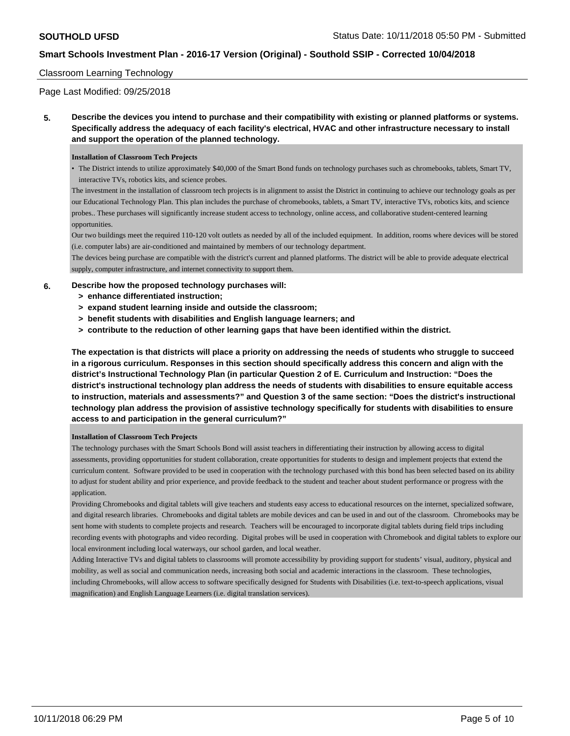### Classroom Learning Technology

Page Last Modified: 09/25/2018

**5. Describe the devices you intend to purchase and their compatibility with existing or planned platforms or systems. Specifically address the adequacy of each facility's electrical, HVAC and other infrastructure necessary to install and support the operation of the planned technology.**

#### **Installation of Classroom Tech Projects**

• The District intends to utilize approximately \$40,000 of the Smart Bond funds on technology purchases such as chromebooks, tablets, Smart TV, interactive TVs, robotics kits, and science probes.

The investment in the installation of classroom tech projects is in alignment to assist the District in continuing to achieve our technology goals as per our Educational Technology Plan. This plan includes the purchase of chromebooks, tablets, a Smart TV, interactive TVs, robotics kits, and science probes.. These purchases will significantly increase student access to technology, online access, and collaborative student-centered learning opportunities.

Our two buildings meet the required 110-120 volt outlets as needed by all of the included equipment. In addition, rooms where devices will be stored (i.e. computer labs) are air-conditioned and maintained by members of our technology department.

The devices being purchase are compatible with the district's current and planned platforms. The district will be able to provide adequate electrical supply, computer infrastructure, and internet connectivity to support them.

### **6. Describe how the proposed technology purchases will:**

- **> enhance differentiated instruction;**
- **> expand student learning inside and outside the classroom;**
- **> benefit students with disabilities and English language learners; and**
- **> contribute to the reduction of other learning gaps that have been identified within the district.**

**The expectation is that districts will place a priority on addressing the needs of students who struggle to succeed in a rigorous curriculum. Responses in this section should specifically address this concern and align with the district's Instructional Technology Plan (in particular Question 2 of E. Curriculum and Instruction: "Does the district's instructional technology plan address the needs of students with disabilities to ensure equitable access to instruction, materials and assessments?" and Question 3 of the same section: "Does the district's instructional technology plan address the provision of assistive technology specifically for students with disabilities to ensure access to and participation in the general curriculum?"**

#### **Installation of Classroom Tech Projects**

The technology purchases with the Smart Schools Bond will assist teachers in differentiating their instruction by allowing access to digital assessments, providing opportunities for student collaboration, create opportunities for students to design and implement projects that extend the curriculum content. Software provided to be used in cooperation with the technology purchased with this bond has been selected based on its ability to adjust for student ability and prior experience, and provide feedback to the student and teacher about student performance or progress with the application.

Providing Chromebooks and digital tablets will give teachers and students easy access to educational resources on the internet, specialized software, and digital research libraries. Chromebooks and digital tablets are mobile devices and can be used in and out of the classroom. Chromebooks may be sent home with students to complete projects and research. Teachers will be encouraged to incorporate digital tablets during field trips including recording events with photographs and video recording. Digital probes will be used in cooperation with Chromebook and digital tablets to explore our local environment including local waterways, our school garden, and local weather.

Adding Interactive TVs and digital tablets to classrooms will promote accessibility by providing support for students' visual, auditory, physical and mobility, as well as social and communication needs, increasing both social and academic interactions in the classroom. These technologies, including Chromebooks, will allow access to software specifically designed for Students with Disabilities (i.e. text-to-speech applications, visual magnification) and English Language Learners (i.e. digital translation services).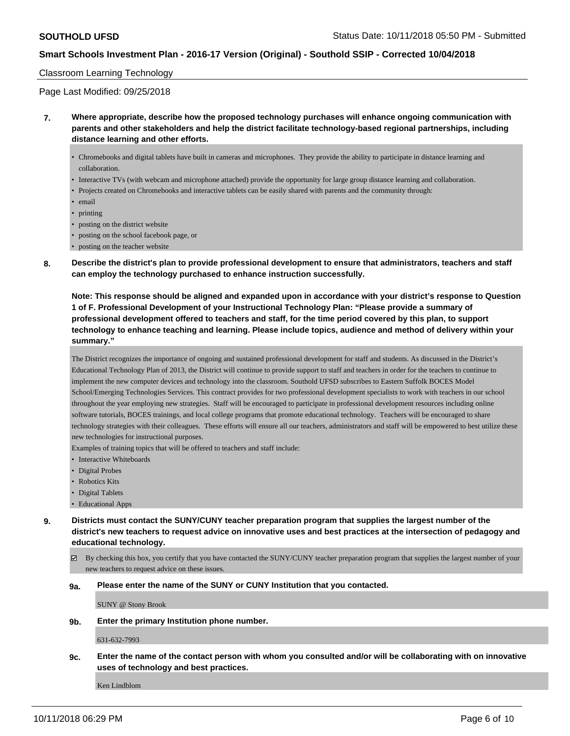### Classroom Learning Technology

Page Last Modified: 09/25/2018

- **7. Where appropriate, describe how the proposed technology purchases will enhance ongoing communication with parents and other stakeholders and help the district facilitate technology-based regional partnerships, including distance learning and other efforts.**
	- Chromebooks and digital tablets have built in cameras and microphones. They provide the ability to participate in distance learning and collaboration.
	- Interactive TVs (with webcam and microphone attached) provide the opportunity for large group distance learning and collaboration.
	- Projects created on Chromebooks and interactive tablets can be easily shared with parents and the community through:
	- email
	- printing
	- posting on the district website
	- posting on the school facebook page, or
	- posting on the teacher website
- **8. Describe the district's plan to provide professional development to ensure that administrators, teachers and staff can employ the technology purchased to enhance instruction successfully.**

**Note: This response should be aligned and expanded upon in accordance with your district's response to Question 1 of F. Professional Development of your Instructional Technology Plan: "Please provide a summary of professional development offered to teachers and staff, for the time period covered by this plan, to support technology to enhance teaching and learning. Please include topics, audience and method of delivery within your summary."**

The District recognizes the importance of ongoing and sustained professional development for staff and students. As discussed in the District's Educational Technology Plan of 2013, the District will continue to provide support to staff and teachers in order for the teachers to continue to implement the new computer devices and technology into the classroom. Southold UFSD subscribes to Eastern Suffolk BOCES Model School/Emerging Technologies Services. This contract provides for two professional development specialists to work with teachers in our school throughout the year employing new strategies. Staff will be encouraged to participate in professional development resources including online software tutorials, BOCES trainings, and local college programs that promote educational technology. Teachers will be encouraged to share technology strategies with their colleagues. These efforts will ensure all our teachers, administrators and staff will be empowered to best utilize these new technologies for instructional purposes.

Examples of training topics that will be offered to teachers and staff include:

- Interactive Whiteboards
- Digital Probes
- Robotics Kits
- Digital Tablets
- Educational Apps

**9. Districts must contact the SUNY/CUNY teacher preparation program that supplies the largest number of the district's new teachers to request advice on innovative uses and best practices at the intersection of pedagogy and educational technology.**

By checking this box, you certify that you have contacted the SUNY/CUNY teacher preparation program that supplies the largest number of your new teachers to request advice on these issues.

**9a. Please enter the name of the SUNY or CUNY Institution that you contacted.**

SUNY @ Stony Brook

**9b. Enter the primary Institution phone number.**

631-632-7993

**9c. Enter the name of the contact person with whom you consulted and/or will be collaborating with on innovative uses of technology and best practices.**

Ken Lindblom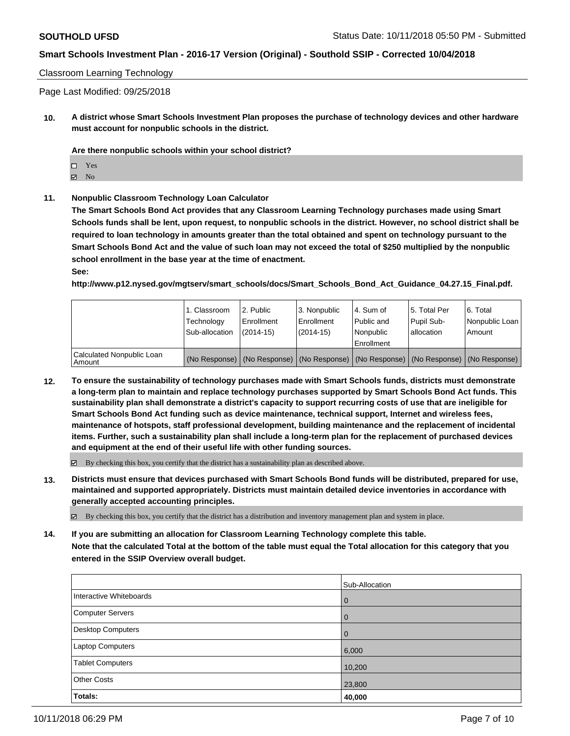### Classroom Learning Technology

Page Last Modified: 09/25/2018

**10. A district whose Smart Schools Investment Plan proposes the purchase of technology devices and other hardware must account for nonpublic schools in the district.**

**Are there nonpublic schools within your school district?**

 $\boxtimes$  No

**11. Nonpublic Classroom Technology Loan Calculator**

**The Smart Schools Bond Act provides that any Classroom Learning Technology purchases made using Smart Schools funds shall be lent, upon request, to nonpublic schools in the district. However, no school district shall be required to loan technology in amounts greater than the total obtained and spent on technology pursuant to the Smart Schools Bond Act and the value of such loan may not exceed the total of \$250 multiplied by the nonpublic school enrollment in the base year at the time of enactment.**

**See:**

**http://www.p12.nysed.gov/mgtserv/smart\_schools/docs/Smart\_Schools\_Bond\_Act\_Guidance\_04.27.15\_Final.pdf.**

|                                     | 1. Classroom<br>Technology<br>Sub-allocation | l 2. Public<br>Enrollment<br>$(2014 - 15)$ | <sup>1</sup> 3. Nonpublic<br>Enrollment<br>(2014-15) | 4. Sum of<br>Public and<br>l Nonpublic<br>Enrollment | l 5. Total Per<br>Pupil Sub-<br>lallocation                                                   | l 6. Total<br>Nonpublic Loan<br>Amount |
|-------------------------------------|----------------------------------------------|--------------------------------------------|------------------------------------------------------|------------------------------------------------------|-----------------------------------------------------------------------------------------------|----------------------------------------|
| Calculated Nonpublic Loan<br>Amount |                                              |                                            |                                                      |                                                      | (No Response)   (No Response)   (No Response)   (No Response)   (No Response)   (No Response) |                                        |

**12. To ensure the sustainability of technology purchases made with Smart Schools funds, districts must demonstrate a long-term plan to maintain and replace technology purchases supported by Smart Schools Bond Act funds. This sustainability plan shall demonstrate a district's capacity to support recurring costs of use that are ineligible for Smart Schools Bond Act funding such as device maintenance, technical support, Internet and wireless fees, maintenance of hotspots, staff professional development, building maintenance and the replacement of incidental items. Further, such a sustainability plan shall include a long-term plan for the replacement of purchased devices and equipment at the end of their useful life with other funding sources.**

 $\boxtimes$  By checking this box, you certify that the district has a sustainability plan as described above.

**13. Districts must ensure that devices purchased with Smart Schools Bond funds will be distributed, prepared for use, maintained and supported appropriately. Districts must maintain detailed device inventories in accordance with generally accepted accounting principles.**

By checking this box, you certify that the district has a distribution and inventory management plan and system in place.

**14. If you are submitting an allocation for Classroom Learning Technology complete this table. Note that the calculated Total at the bottom of the table must equal the Total allocation for this category that you entered in the SSIP Overview overall budget.**

|                          | Sub-Allocation |
|--------------------------|----------------|
| Interactive Whiteboards  | $\mathbf 0$    |
| <b>Computer Servers</b>  | 0              |
| <b>Desktop Computers</b> | 0              |
| Laptop Computers         | 6,000          |
| <b>Tablet Computers</b>  | 10,200         |
| <b>Other Costs</b>       | 23,800         |
| Totals:                  | 40,000         |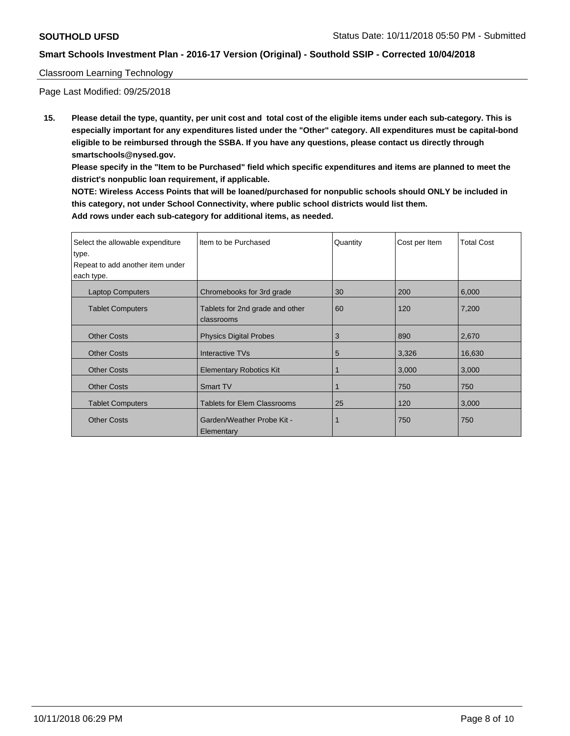# Classroom Learning Technology

Page Last Modified: 09/25/2018

**15. Please detail the type, quantity, per unit cost and total cost of the eligible items under each sub-category. This is especially important for any expenditures listed under the "Other" category. All expenditures must be capital-bond eligible to be reimbursed through the SSBA. If you have any questions, please contact us directly through smartschools@nysed.gov.**

**Please specify in the "Item to be Purchased" field which specific expenditures and items are planned to meet the district's nonpublic loan requirement, if applicable.**

**NOTE: Wireless Access Points that will be loaned/purchased for nonpublic schools should ONLY be included in this category, not under School Connectivity, where public school districts would list them. Add rows under each sub-category for additional items, as needed.**

| Select the allowable expenditure | Item to be Purchased               | Quantity | Cost per Item | <b>Total Cost</b> |
|----------------------------------|------------------------------------|----------|---------------|-------------------|
| type.                            |                                    |          |               |                   |
| Repeat to add another item under |                                    |          |               |                   |
| each type.                       |                                    |          |               |                   |
| <b>Laptop Computers</b>          | Chromebooks for 3rd grade          | 30       | 200           | 6,000             |
| <b>Tablet Computers</b>          | Tablets for 2nd grade and other    | 60       | 120           | 7,200             |
|                                  | classrooms                         |          |               |                   |
| <b>Other Costs</b>               | <b>Physics Digital Probes</b>      | 3        | 890           | 2,670             |
| <b>Other Costs</b>               | <b>Interactive TVs</b>             | 5        | 3,326         | 16,630            |
| <b>Other Costs</b>               | <b>Elementary Robotics Kit</b>     |          | 3,000         | 3,000             |
| <b>Other Costs</b>               | <b>Smart TV</b>                    |          | 750           | 750               |
| <b>Tablet Computers</b>          | <b>Tablets for Elem Classrooms</b> | 25       | 120           | 3,000             |
| <b>Other Costs</b>               | Garden/Weather Probe Kit -         |          | 750           | 750               |
|                                  | Elementary                         |          |               |                   |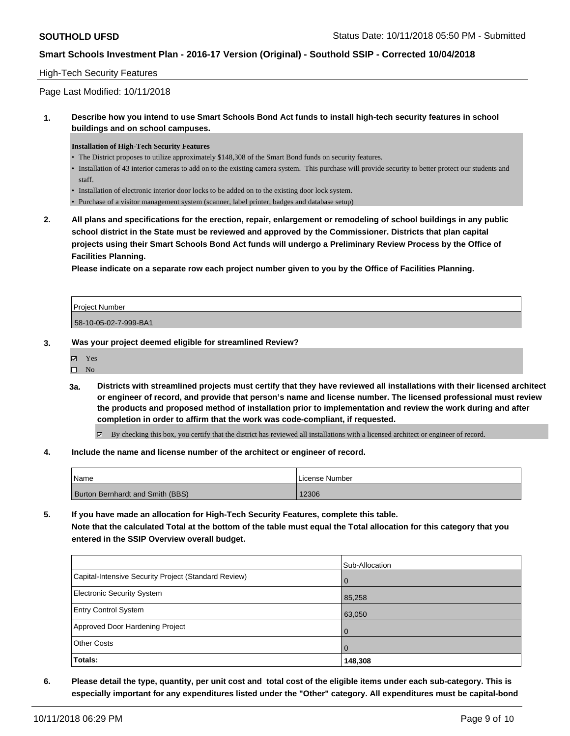# High-Tech Security Features

Page Last Modified: 10/11/2018

**1. Describe how you intend to use Smart Schools Bond Act funds to install high-tech security features in school buildings and on school campuses.**

#### **Installation of High-Tech Security Features**

- The District proposes to utilize approximately \$148,308 of the Smart Bond funds on security features.
- Installation of 43 interior cameras to add on to the existing camera system. This purchase will provide security to better protect our students and staff.
- Installation of electronic interior door locks to be added on to the existing door lock system.
- Purchase of a visitor management system (scanner, label printer, badges and database setup)
- **2. All plans and specifications for the erection, repair, enlargement or remodeling of school buildings in any public school district in the State must be reviewed and approved by the Commissioner. Districts that plan capital projects using their Smart Schools Bond Act funds will undergo a Preliminary Review Process by the Office of Facilities Planning.**

**Please indicate on a separate row each project number given to you by the Office of Facilities Planning.**

| <b>Project Number</b> |  |
|-----------------------|--|
| 58-10-05-02-7-999-BA1 |  |

**3. Was your project deemed eligible for streamlined Review?**

| ⊽ | Yes  |  |
|---|------|--|
| □ | - No |  |

**3a. Districts with streamlined projects must certify that they have reviewed all installations with their licensed architect or engineer of record, and provide that person's name and license number. The licensed professional must review the products and proposed method of installation prior to implementation and review the work during and after completion in order to affirm that the work was code-compliant, if requested.**

By checking this box, you certify that the district has reviewed all installations with a licensed architect or engineer of record.

**4. Include the name and license number of the architect or engineer of record.**

| Name                                    | License Number |
|-----------------------------------------|----------------|
| <b>Burton Bernhardt and Smith (BBS)</b> | 12306          |

**5. If you have made an allocation for High-Tech Security Features, complete this table. Note that the calculated Total at the bottom of the table must equal the Total allocation for this category that you entered in the SSIP Overview overall budget.**

|                                                      | Sub-Allocation |
|------------------------------------------------------|----------------|
| Capital-Intensive Security Project (Standard Review) | l O            |
| <b>Electronic Security System</b>                    | 85,258         |
| <b>Entry Control System</b>                          | 63,050         |
| Approved Door Hardening Project                      | $\overline{0}$ |
| <b>Other Costs</b>                                   | $\Omega$       |
| <b>Totals:</b>                                       | 148,308        |

**6. Please detail the type, quantity, per unit cost and total cost of the eligible items under each sub-category. This is especially important for any expenditures listed under the "Other" category. All expenditures must be capital-bond**